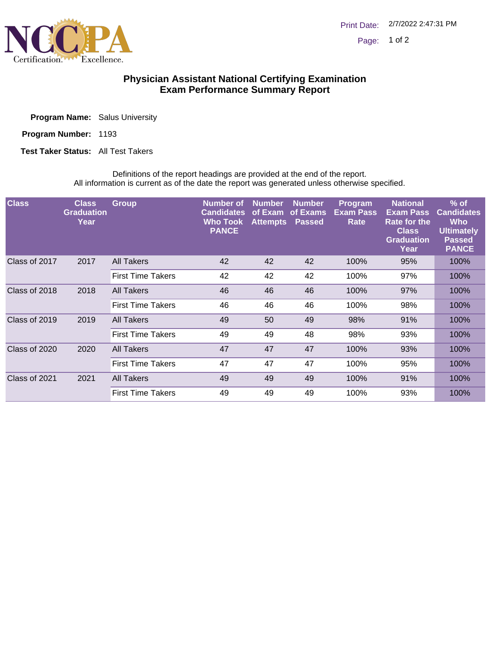

## **Physician Assistant National Certifying Examination Exam Performance Summary Report**

|  | <b>Program Name:</b> Salus University |
|--|---------------------------------------|
|  |                                       |

| <b>Program Number:</b> | 1193 |
|------------------------|------|
|                        |      |

**Test Taker Status:** All Test Takers

Definitions of the report headings are provided at the end of the report. All information is current as of the date the report was generated unless otherwise specified.

| <b>Class</b>          | <b>Class</b><br><b>Graduation</b><br>Year | <b>Group</b>             | <b>Number of</b><br><b>Candidates</b><br><b>Who Took</b><br><b>PANCE</b> | <b>Number</b><br>of Exam<br><b>Attempts</b> | <b>Number</b><br>of Exams<br><b>Passed</b> | <b>Program</b><br><b>Exam Pass</b><br>Rate | <b>National</b><br><b>Exam Pass</b><br><b>Rate for the</b><br><b>Class</b><br><b>Graduation</b><br>Year | $%$ of<br><b>Candidates</b><br><b>Who</b><br><b>Ultimately</b><br><b>Passed</b><br><b>PANCE</b> |
|-----------------------|-------------------------------------------|--------------------------|--------------------------------------------------------------------------|---------------------------------------------|--------------------------------------------|--------------------------------------------|---------------------------------------------------------------------------------------------------------|-------------------------------------------------------------------------------------------------|
| Class of 2017<br>2017 | All Takers                                | 42                       | 42                                                                       | 42                                          | 100%                                       | 95%                                        | 100%                                                                                                    |                                                                                                 |
|                       |                                           | <b>First Time Takers</b> | 42                                                                       | 42                                          | 42                                         | 100%                                       | 97%                                                                                                     | 100%                                                                                            |
| Class of 2018         | 2018                                      | All Takers               | 46                                                                       | 46                                          | 46                                         | 100%                                       | 97%                                                                                                     | 100%                                                                                            |
|                       |                                           | <b>First Time Takers</b> | 46                                                                       | 46                                          | 46                                         | 100%                                       | 98%                                                                                                     | 100%                                                                                            |
| Class of 2019<br>2019 |                                           | All Takers               | 49                                                                       | 50                                          | 49                                         | 98%                                        | 91%                                                                                                     | 100%                                                                                            |
|                       |                                           | <b>First Time Takers</b> | 49                                                                       | 49                                          | 48                                         | 98%                                        | 93%                                                                                                     | 100%                                                                                            |
| Class of 2020         | 2020                                      | All Takers               | 47                                                                       | 47                                          | 47                                         | 100%                                       | 93%                                                                                                     | 100%                                                                                            |
|                       |                                           | <b>First Time Takers</b> | 47                                                                       | 47                                          | 47                                         | 100%                                       | 95%                                                                                                     | 100%                                                                                            |
| Class of 2021         | 2021                                      | All Takers               | 49                                                                       | 49                                          | 49                                         | 100%                                       | 91%                                                                                                     | 100%                                                                                            |
|                       |                                           | <b>First Time Takers</b> | 49                                                                       | 49                                          | 49                                         | 100%                                       | 93%                                                                                                     | 100%                                                                                            |